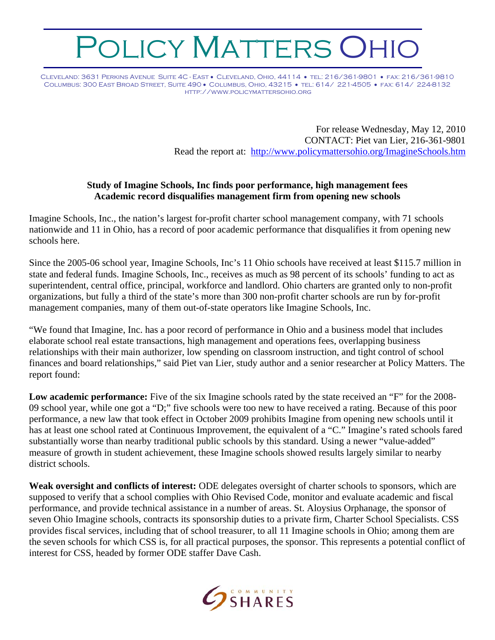## *OLICY MATTERS OHIC*

Cleveland: 3631 Perkins Avenue Suite 4C - East • Cleveland, Ohio, 44114 • tel: 216/361-9801 • fax: 216/361-9810 Columbus: 300 East Broad Street, Suite 490 • Columbus, Ohio, 43215 • tel: 614/ 221-4505 • fax: 614/ 224-8132 http://www.policymattersohio.org

> For release Wednesday, May 12, 2010 CONTACT: Piet van Lier, 216-361-9801 Read the report at: <http://www.policymattersohio.org/ImagineSchools.htm>

## **Study of Imagine Schools, Inc finds poor performance, high management fees Academic record disqualifies management firm from opening new schools**

Imagine Schools, Inc., the nation's largest for-profit charter school management company, with 71 schools nationwide and 11 in Ohio, has a record of poor academic performance that disqualifies it from opening new schools here.

Since the 2005-06 school year, Imagine Schools, Inc's 11 Ohio schools have received at least \$115.7 million in state and federal funds. Imagine Schools, Inc., receives as much as 98 percent of its schools' funding to act as superintendent, central office, principal, workforce and landlord. Ohio charters are granted only to non-profit organizations, but fully a third of the state's more than 300 non-profit charter schools are run by for-profit management companies, many of them out-of-state operators like Imagine Schools, Inc.

"We found that Imagine, Inc. has a poor record of performance in Ohio and a business model that includes elaborate school real estate transactions, high management and operations fees, overlapping business relationships with their main authorizer, low spending on classroom instruction, and tight control of school finances and board relationships," said Piet van Lier, study author and a senior researcher at Policy Matters. The report found:

**Low academic performance:** Five of the six Imagine schools rated by the state received an "F" for the 2008- 09 school year, while one got a "D;" five schools were too new to have received a rating. Because of this poor performance, a new law that took effect in October 2009 prohibits Imagine from opening new schools until it has at least one school rated at Continuous Improvement, the equivalent of a "C." Imagine's rated schools fared substantially worse than nearby traditional public schools by this standard. Using a newer "value-added" measure of growth in student achievement, these Imagine schools showed results largely similar to nearby district schools.

**Weak oversight and conflicts of interest:** ODE delegates oversight of charter schools to sponsors, which are supposed to verify that a school complies with Ohio Revised Code, monitor and evaluate academic and fiscal performance, and provide technical assistance in a number of areas. St. Aloysius Orphanage, the sponsor of seven Ohio Imagine schools, contracts its sponsorship duties to a private firm, Charter School Specialists. CSS provides fiscal services, including that of school treasurer, to all 11 Imagine schools in Ohio; among them are the seven schools for which CSS is, for all practical purposes, the sponsor. This represents a potential conflict of interest for CSS, headed by former ODE staffer Dave Cash.